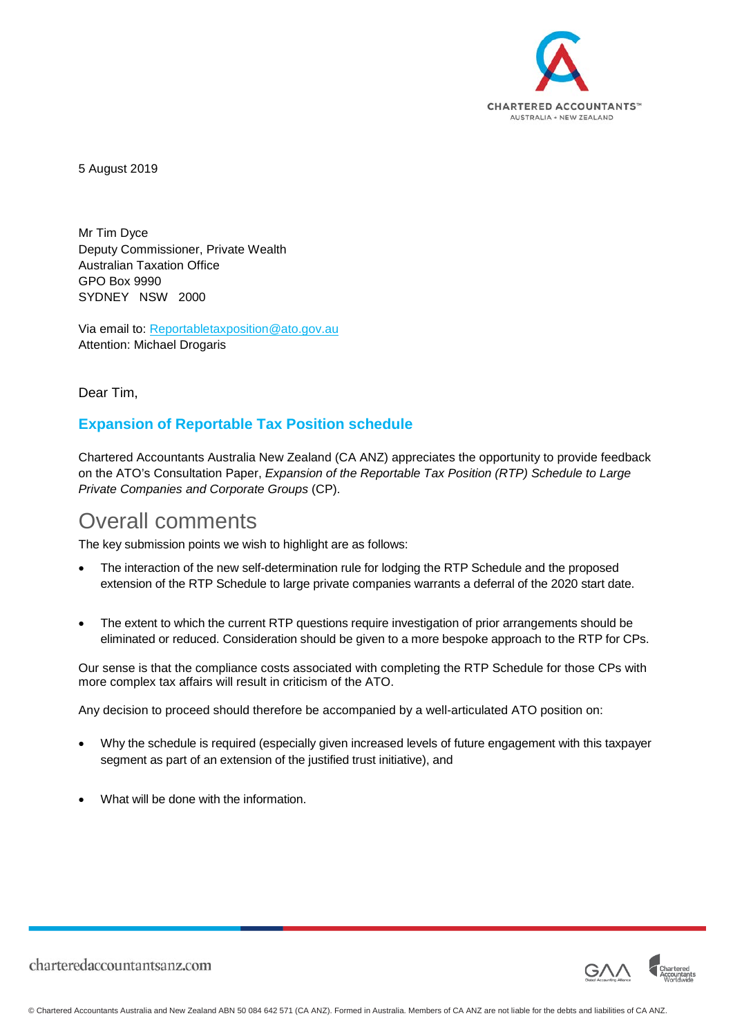

5 August 2019

Mr Tim Dyce Deputy Commissioner, Private Wealth Australian Taxation Office GPO Box 9990 SYDNEY NSW 2000

Via email to: [Reportabletaxposition@ato.gov.au](mailto:Reportabletaxposition@ato.gov.au) Attention: Michael Drogaris

Dear Tim,

#### **Expansion of Reportable Tax Position schedule**

Chartered Accountants Australia New Zealand (CA ANZ) appreciates the opportunity to provide feedback on the ATO's Consultation Paper, *Expansion of the Reportable Tax Position (RTP) Schedule to Large Private Companies and Corporate Groups* (CP).

### Overall comments

The key submission points we wish to highlight are as follows:

- The interaction of the new self-determination rule for lodging the RTP Schedule and the proposed extension of the RTP Schedule to large private companies warrants a deferral of the 2020 start date.
- The extent to which the current RTP questions require investigation of prior arrangements should be eliminated or reduced. Consideration should be given to a more bespoke approach to the RTP for CPs.

Our sense is that the compliance costs associated with completing the RTP Schedule for those CPs with more complex tax affairs will result in criticism of the ATO.

Any decision to proceed should therefore be accompanied by a well-articulated ATO position on:

- Why the schedule is required (especially given increased levels of future engagement with this taxpayer segment as part of an extension of the justified trust initiative), and
- What will be done with the information.

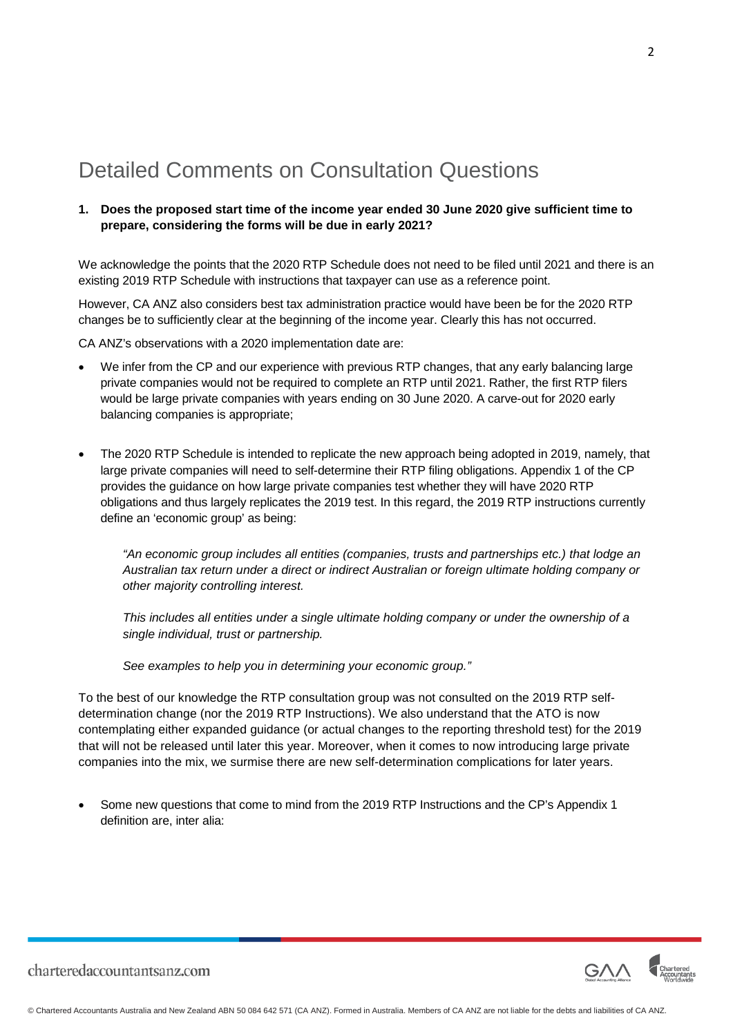## Detailed Comments on Consultation Questions

#### **1. Does the proposed start time of the income year ended 30 June 2020 give sufficient time to prepare, considering the forms will be due in early 2021?**

We acknowledge the points that the 2020 RTP Schedule does not need to be filed until 2021 and there is an existing 2019 RTP Schedule with instructions that taxpayer can use as a reference point.

However, CA ANZ also considers best tax administration practice would have been be for the 2020 RTP changes be to sufficiently clear at the beginning of the income year. Clearly this has not occurred.

CA ANZ's observations with a 2020 implementation date are:

- We infer from the CP and our experience with previous RTP changes, that any early balancing large private companies would not be required to complete an RTP until 2021. Rather, the first RTP filers would be large private companies with years ending on 30 June 2020. A carve-out for 2020 early balancing companies is appropriate;
- The 2020 RTP Schedule is intended to replicate the new approach being adopted in 2019, namely, that large private companies will need to self-determine their RTP filing obligations. Appendix 1 of the CP provides the guidance on how large private companies test whether they will have 2020 RTP obligations and thus largely replicates the 2019 test. In this regard, the 2019 RTP instructions currently define an 'economic group' as being:

*"An economic group includes all entities (companies, trusts and partnerships etc.) that lodge an Australian tax return under a direct or indirect Australian or foreign ultimate holding company or other majority controlling interest.*

*This includes all entities under a single ultimate holding company or under the ownership of a single individual, trust or partnership.*

*See examples to help you in determining your economic group."*

To the best of our knowledge the RTP consultation group was not consulted on the 2019 RTP selfdetermination change (nor the 2019 RTP Instructions). We also understand that the ATO is now contemplating either expanded guidance (or actual changes to the reporting threshold test) for the 2019 that will not be released until later this year. Moreover, when it comes to now introducing large private companies into the mix, we surmise there are new self-determination complications for later years.

• Some new questions that come to mind from the 2019 RTP Instructions and the CP's Appendix 1 definition are, inter alia:



2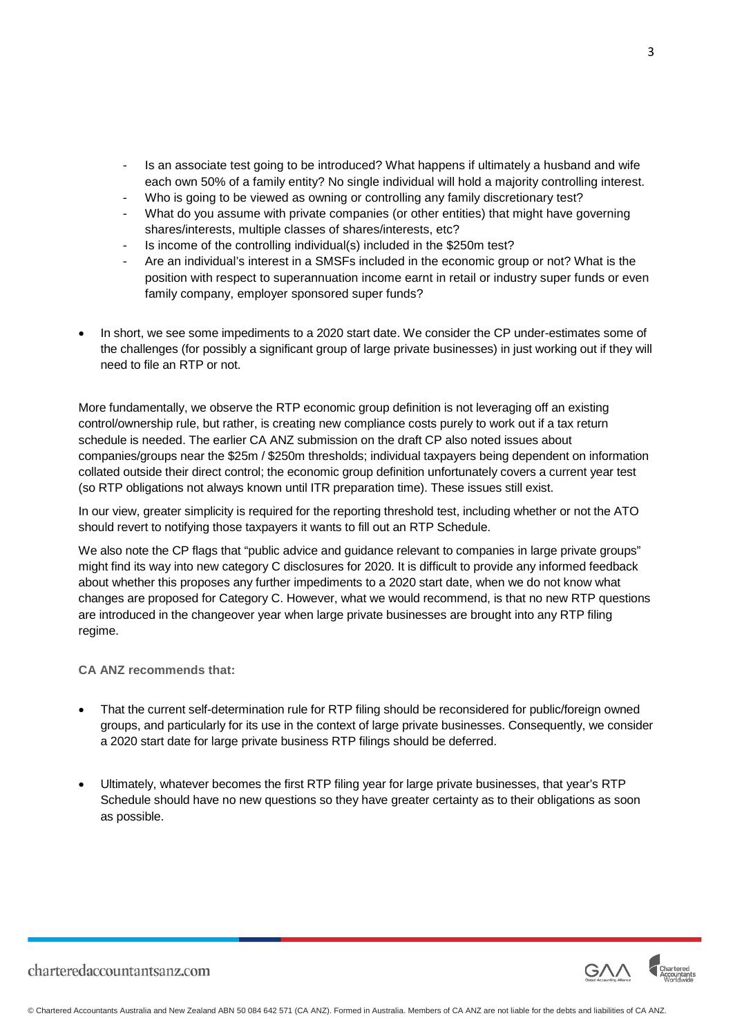- Is an associate test going to be introduced? What happens if ultimately a husband and wife each own 50% of a family entity? No single individual will hold a majority controlling interest.
- Who is going to be viewed as owning or controlling any family discretionary test?
- What do you assume with private companies (or other entities) that might have governing shares/interests, multiple classes of shares/interests, etc?
- Is income of the controlling individual(s) included in the \$250m test?
- Are an individual's interest in a SMSFs included in the economic group or not? What is the position with respect to superannuation income earnt in retail or industry super funds or even family company, employer sponsored super funds?
- In short, we see some impediments to a 2020 start date. We consider the CP under-estimates some of the challenges (for possibly a significant group of large private businesses) in just working out if they will need to file an RTP or not.

More fundamentally, we observe the RTP economic group definition is not leveraging off an existing control/ownership rule, but rather, is creating new compliance costs purely to work out if a tax return schedule is needed. The earlier CA ANZ submission on the draft CP also noted issues about companies/groups near the \$25m / \$250m thresholds; individual taxpayers being dependent on information collated outside their direct control; the economic group definition unfortunately covers a current year test (so RTP obligations not always known until ITR preparation time). These issues still exist.

In our view, greater simplicity is required for the reporting threshold test, including whether or not the ATO should revert to notifying those taxpayers it wants to fill out an RTP Schedule.

We also note the CP flags that "public advice and guidance relevant to companies in large private groups" might find its way into new category C disclosures for 2020. It is difficult to provide any informed feedback about whether this proposes any further impediments to a 2020 start date, when we do not know what changes are proposed for Category C. However, what we would recommend, is that no new RTP questions are introduced in the changeover year when large private businesses are brought into any RTP filing regime.

#### **CA ANZ recommends that:**

- That the current self-determination rule for RTP filing should be reconsidered for public/foreign owned groups, and particularly for its use in the context of large private businesses. Consequently, we consider a 2020 start date for large private business RTP filings should be deferred.
- Ultimately, whatever becomes the first RTP filing year for large private businesses, that year's RTP Schedule should have no new questions so they have greater certainty as to their obligations as soon as possible.



3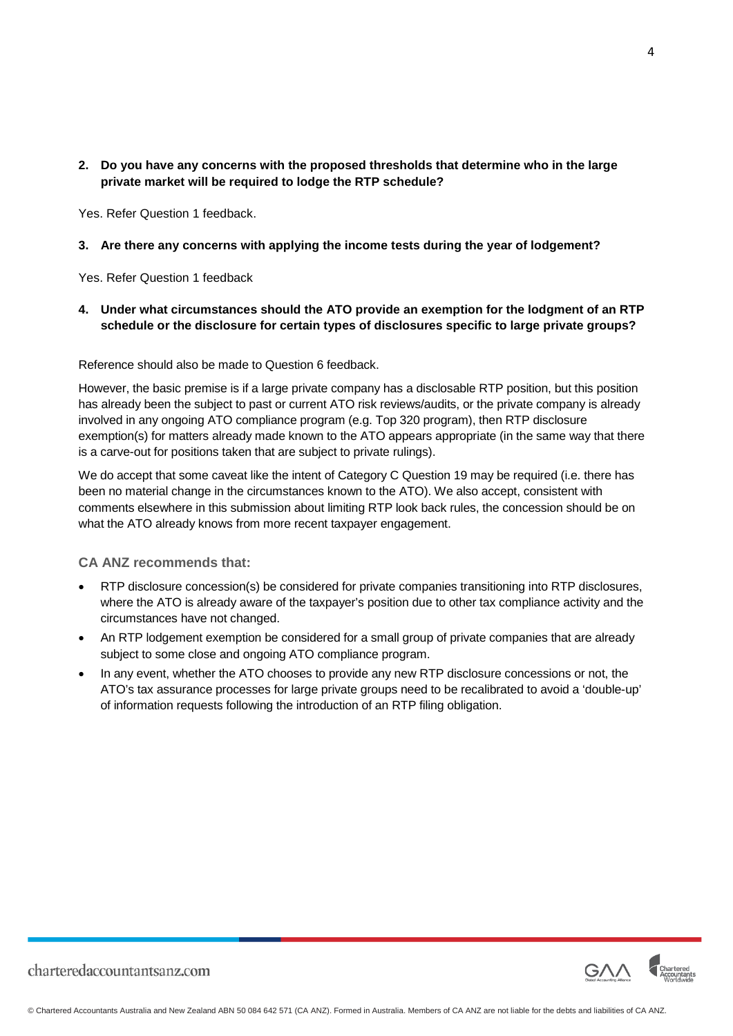#### **2. Do you have any concerns with the proposed thresholds that determine who in the large private market will be required to lodge the RTP schedule?**

Yes. Refer Question 1 feedback.

#### **3. Are there any concerns with applying the income tests during the year of lodgement?**

Yes. Refer Question 1 feedback

#### **4. Under what circumstances should the ATO provide an exemption for the lodgment of an RTP schedule or the disclosure for certain types of disclosures specific to large private groups?**

Reference should also be made to Question 6 feedback.

However, the basic premise is if a large private company has a disclosable RTP position, but this position has already been the subject to past or current ATO risk reviews/audits, or the private company is already involved in any ongoing ATO compliance program (e.g. Top 320 program), then RTP disclosure exemption(s) for matters already made known to the ATO appears appropriate (in the same way that there is a carve-out for positions taken that are subject to private rulings).

We do accept that some caveat like the intent of Category C Question 19 may be required (i.e. there has been no material change in the circumstances known to the ATO). We also accept, consistent with comments elsewhere in this submission about limiting RTP look back rules, the concession should be on what the ATO already knows from more recent taxpayer engagement.

**CA ANZ recommends that:**

- RTP disclosure concession(s) be considered for private companies transitioning into RTP disclosures, where the ATO is already aware of the taxpayer's position due to other tax compliance activity and the circumstances have not changed.
- An RTP lodgement exemption be considered for a small group of private companies that are already subject to some close and ongoing ATO compliance program.
- In any event, whether the ATO chooses to provide any new RTP disclosure concessions or not, the ATO's tax assurance processes for large private groups need to be recalibrated to avoid a 'double-up' of information requests following the introduction of an RTP filing obligation.



4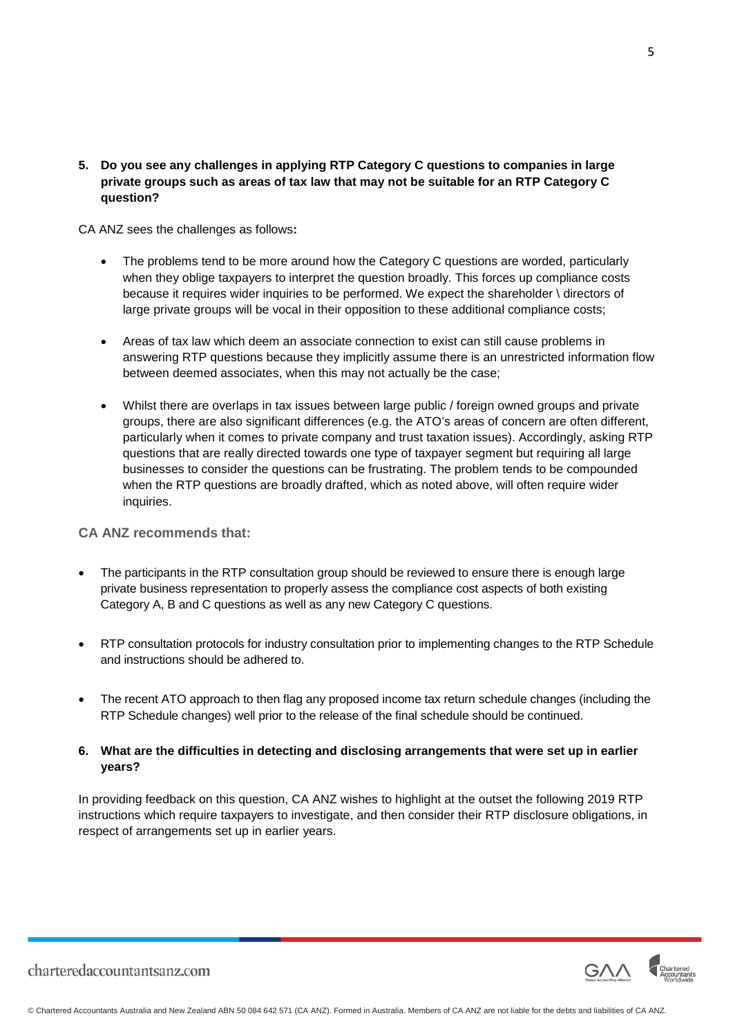**5. Do you see any challenges in applying RTP Category C questions to companies in large private groups such as areas of tax law that may not be suitable for an RTP Category C question?**

CA ANZ sees the challenges as follows**:**

- The problems tend to be more around how the Category C questions are worded, particularly when they oblige taxpayers to interpret the question broadly. This forces up compliance costs because it requires wider inquiries to be performed. We expect the shareholder \ directors of large private groups will be vocal in their opposition to these additional compliance costs;
- Areas of tax law which deem an associate connection to exist can still cause problems in answering RTP questions because they implicitly assume there is an unrestricted information flow between deemed associates, when this may not actually be the case;
- Whilst there are overlaps in tax issues between large public / foreign owned groups and private groups, there are also significant differences (e.g. the ATO's areas of concern are often different, particularly when it comes to private company and trust taxation issues). Accordingly, asking RTP questions that are really directed towards one type of taxpayer segment but requiring all large businesses to consider the questions can be frustrating. The problem tends to be compounded when the RTP questions are broadly drafted, which as noted above, will often require wider inquiries.

#### **CA ANZ recommends that:**

- The participants in the RTP consultation group should be reviewed to ensure there is enough large private business representation to properly assess the compliance cost aspects of both existing Category A, B and C questions as well as any new Category C questions.
- RTP consultation protocols for industry consultation prior to implementing changes to the RTP Schedule and instructions should be adhered to.
- The recent ATO approach to then flag any proposed income tax return schedule changes (including the RTP Schedule changes) well prior to the release of the final schedule should be continued.

#### **6. What are the difficulties in detecting and disclosing arrangements that were set up in earlier years?**

In providing feedback on this question, CA ANZ wishes to highlight at the outset the following 2019 RTP instructions which require taxpayers to investigate, and then consider their RTP disclosure obligations, in respect of arrangements set up in earlier years.

5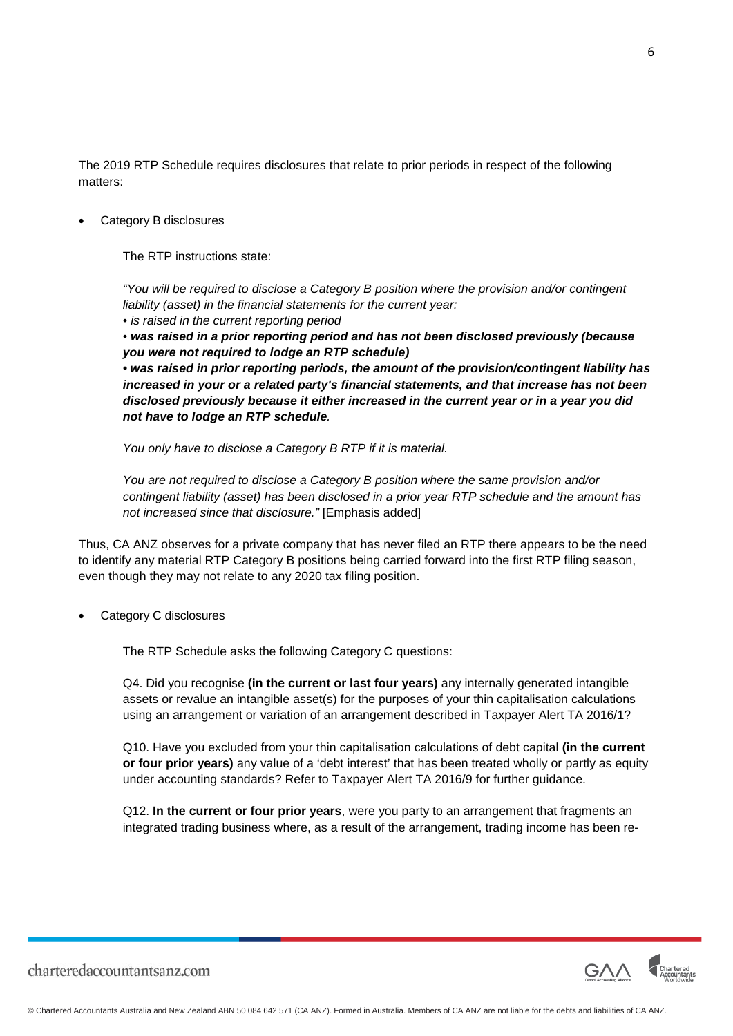The 2019 RTP Schedule requires disclosures that relate to prior periods in respect of the following matters:

Category B disclosures

The RTP instructions state:

*"You will be required to disclose a Category B position where the provision and/or contingent liability (asset) in the financial statements for the current year:*

*• is raised in the current reporting period*

*• was raised in a prior reporting period and has not been disclosed previously (because you were not required to lodge an RTP schedule)*

*• was raised in prior reporting periods, the amount of the provision/contingent liability has increased in your or a related party's financial statements, and that increase has not been disclosed previously because it either increased in the current year or in a year you did not have to lodge an RTP schedule.*

*You only have to disclose a Category B RTP if it is material.*

*You are not required to disclose a Category B position where the same provision and/or contingent liability (asset) has been disclosed in a prior year RTP schedule and the amount has not increased since that disclosure."* [Emphasis added]

Thus, CA ANZ observes for a private company that has never filed an RTP there appears to be the need to identify any material RTP Category B positions being carried forward into the first RTP filing season, even though they may not relate to any 2020 tax filing position.

Category C disclosures

The RTP Schedule asks the following Category C questions:

Q4. Did you recognise **(in the current or last four years)** any internally generated intangible assets or revalue an intangible asset(s) for the purposes of your thin capitalisation calculations using an arrangement or variation of an arrangement described in Taxpayer Alert TA 2016/1?

Q10. Have you excluded from your thin capitalisation calculations of debt capital **(in the current or four prior years)** any value of a 'debt interest' that has been treated wholly or partly as equity under accounting standards? Refer to Taxpayer Alert TA 2016/9 for further guidance.

Q12. **In the current or four prior years**, were you party to an arrangement that fragments an integrated trading business where, as a result of the arrangement, trading income has been re-

6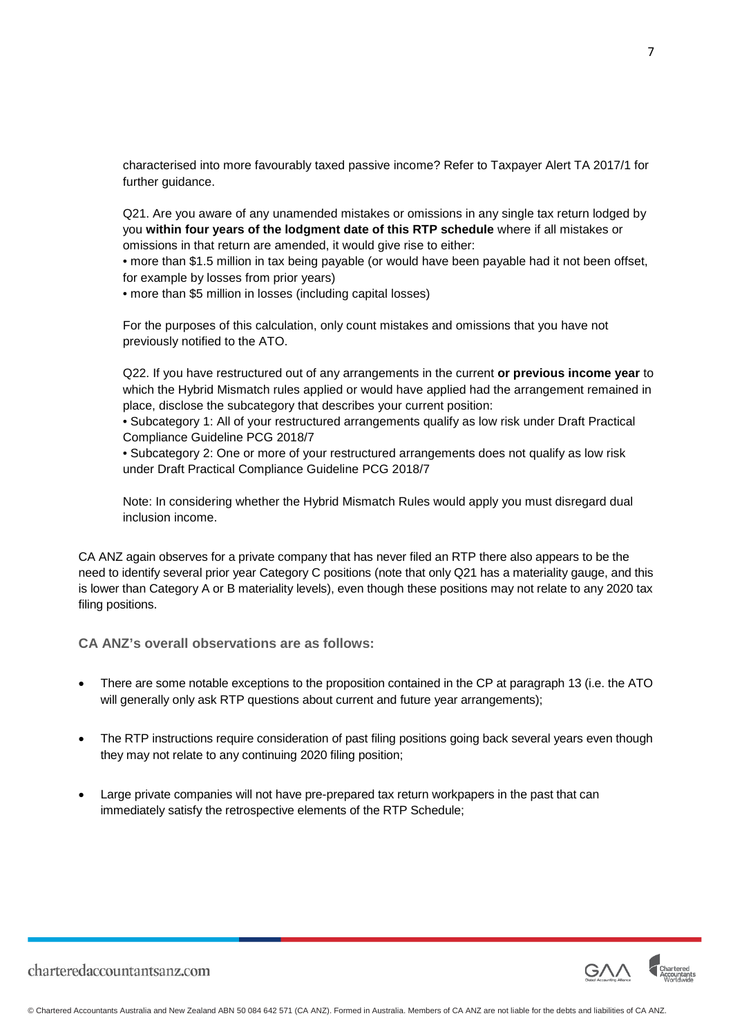characterised into more favourably taxed passive income? Refer to Taxpayer Alert TA 2017/1 for further guidance.

Q21. Are you aware of any unamended mistakes or omissions in any single tax return lodged by you **within four years of the lodgment date of this RTP schedule** where if all mistakes or omissions in that return are amended, it would give rise to either:

• more than \$1.5 million in tax being payable (or would have been payable had it not been offset, for example by losses from prior years)

• more than \$5 million in losses (including capital losses)

For the purposes of this calculation, only count mistakes and omissions that you have not previously notified to the ATO.

Q22. If you have restructured out of any arrangements in the current **or previous income year** to which the Hybrid Mismatch rules applied or would have applied had the arrangement remained in place, disclose the subcategory that describes your current position:

• Subcategory 1: All of your restructured arrangements qualify as low risk under Draft Practical Compliance Guideline PCG 2018/7

• Subcategory 2: One or more of your restructured arrangements does not qualify as low risk under Draft Practical Compliance Guideline PCG 2018/7

Note: In considering whether the Hybrid Mismatch Rules would apply you must disregard dual inclusion income.

CA ANZ again observes for a private company that has never filed an RTP there also appears to be the need to identify several prior year Category C positions (note that only Q21 has a materiality gauge, and this is lower than Category A or B materiality levels), even though these positions may not relate to any 2020 tax filing positions.

**CA ANZ's overall observations are as follows:**

- There are some notable exceptions to the proposition contained in the CP at paragraph 13 (i.e. the ATO will generally only ask RTP questions about current and future year arrangements);
- The RTP instructions require consideration of past filing positions going back several years even though they may not relate to any continuing 2020 filing position;
- Large private companies will not have pre-prepared tax return workpapers in the past that can immediately satisfy the retrospective elements of the RTP Schedule;

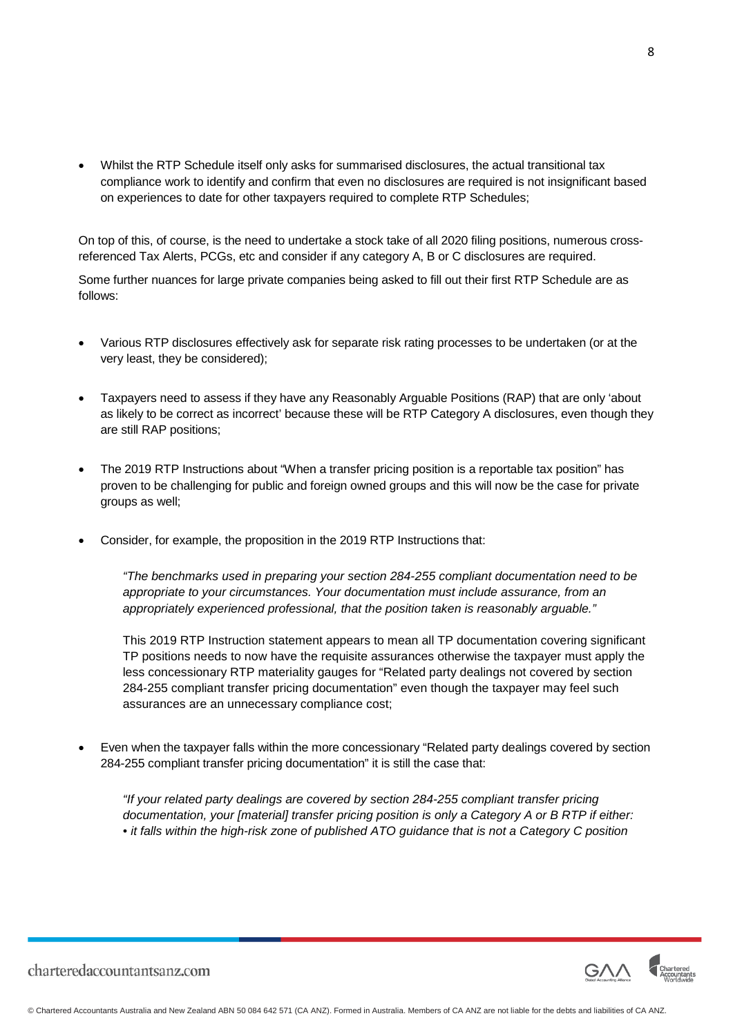• Whilst the RTP Schedule itself only asks for summarised disclosures, the actual transitional tax compliance work to identify and confirm that even no disclosures are required is not insignificant based on experiences to date for other taxpayers required to complete RTP Schedules;

On top of this, of course, is the need to undertake a stock take of all 2020 filing positions, numerous crossreferenced Tax Alerts, PCGs, etc and consider if any category A, B or C disclosures are required.

Some further nuances for large private companies being asked to fill out their first RTP Schedule are as follows:

- Various RTP disclosures effectively ask for separate risk rating processes to be undertaken (or at the very least, they be considered);
- Taxpayers need to assess if they have any Reasonably Arguable Positions (RAP) that are only 'about as likely to be correct as incorrect' because these will be RTP Category A disclosures, even though they are still RAP positions;
- The 2019 RTP Instructions about "When a transfer pricing position is a reportable tax position" has proven to be challenging for public and foreign owned groups and this will now be the case for private groups as well;
- Consider, for example, the proposition in the 2019 RTP Instructions that:

*"The benchmarks used in preparing your section 284-255 compliant documentation need to be appropriate to your circumstances. Your documentation must include assurance, from an appropriately experienced professional, that the position taken is reasonably arguable."*

This 2019 RTP Instruction statement appears to mean all TP documentation covering significant TP positions needs to now have the requisite assurances otherwise the taxpayer must apply the less concessionary RTP materiality gauges for "Related party dealings not covered by section 284-255 compliant transfer pricing documentation" even though the taxpayer may feel such assurances are an unnecessary compliance cost;

• Even when the taxpayer falls within the more concessionary "Related party dealings covered by section 284-255 compliant transfer pricing documentation" it is still the case that:

*"If your related party dealings are covered by section 284-255 compliant transfer pricing documentation, your [material] transfer pricing position is only a Category A or B RTP if either: • it falls within the high-risk zone of published ATO guidance that is not a Category C position*

8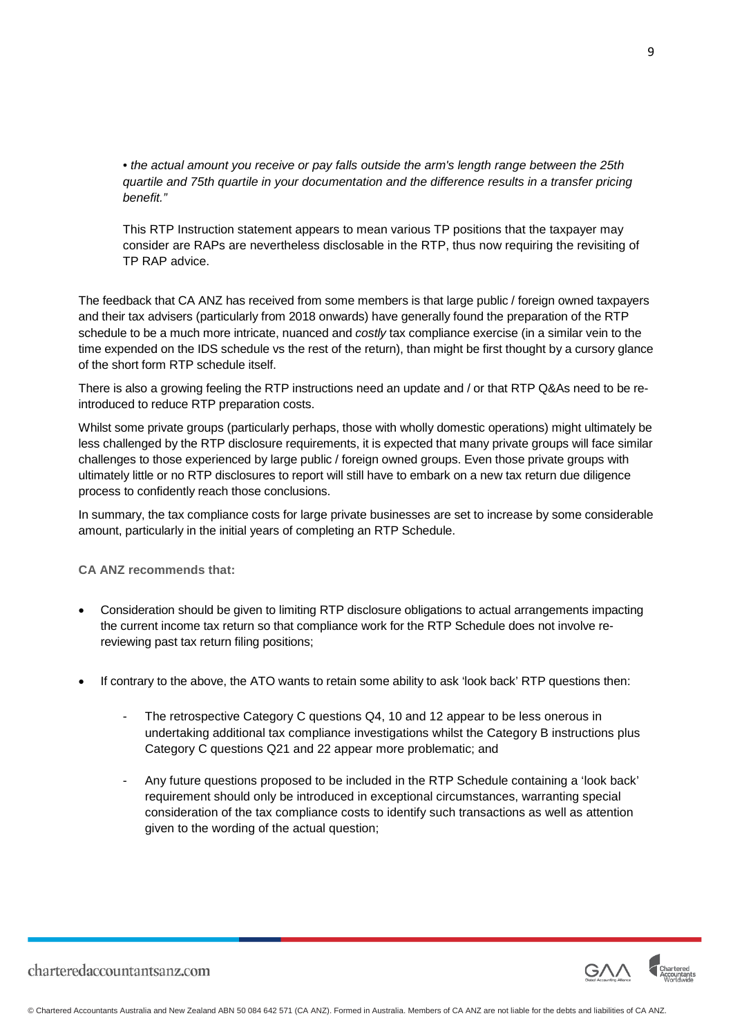*• the actual amount you receive or pay falls outside the arm's length range between the 25th quartile and 75th quartile in your documentation and the difference results in a transfer pricing benefit."*

This RTP Instruction statement appears to mean various TP positions that the taxpayer may consider are RAPs are nevertheless disclosable in the RTP, thus now requiring the revisiting of TP RAP advice.

The feedback that CA ANZ has received from some members is that large public / foreign owned taxpayers and their tax advisers (particularly from 2018 onwards) have generally found the preparation of the RTP schedule to be a much more intricate, nuanced and *costly* tax compliance exercise (in a similar vein to the time expended on the IDS schedule vs the rest of the return), than might be first thought by a cursory glance of the short form RTP schedule itself.

There is also a growing feeling the RTP instructions need an update and / or that RTP Q&As need to be reintroduced to reduce RTP preparation costs.

Whilst some private groups (particularly perhaps, those with wholly domestic operations) might ultimately be less challenged by the RTP disclosure requirements, it is expected that many private groups will face similar challenges to those experienced by large public / foreign owned groups. Even those private groups with ultimately little or no RTP disclosures to report will still have to embark on a new tax return due diligence process to confidently reach those conclusions.

In summary, the tax compliance costs for large private businesses are set to increase by some considerable amount, particularly in the initial years of completing an RTP Schedule.

**CA ANZ recommends that:**

- Consideration should be given to limiting RTP disclosure obligations to actual arrangements impacting the current income tax return so that compliance work for the RTP Schedule does not involve rereviewing past tax return filing positions;
- If contrary to the above, the ATO wants to retain some ability to ask 'look back' RTP questions then:
	- The retrospective Category C questions Q4, 10 and 12 appear to be less onerous in undertaking additional tax compliance investigations whilst the Category B instructions plus Category C questions Q21 and 22 appear more problematic; and
	- Any future questions proposed to be included in the RTP Schedule containing a 'look back' requirement should only be introduced in exceptional circumstances, warranting special consideration of the tax compliance costs to identify such transactions as well as attention given to the wording of the actual question;

9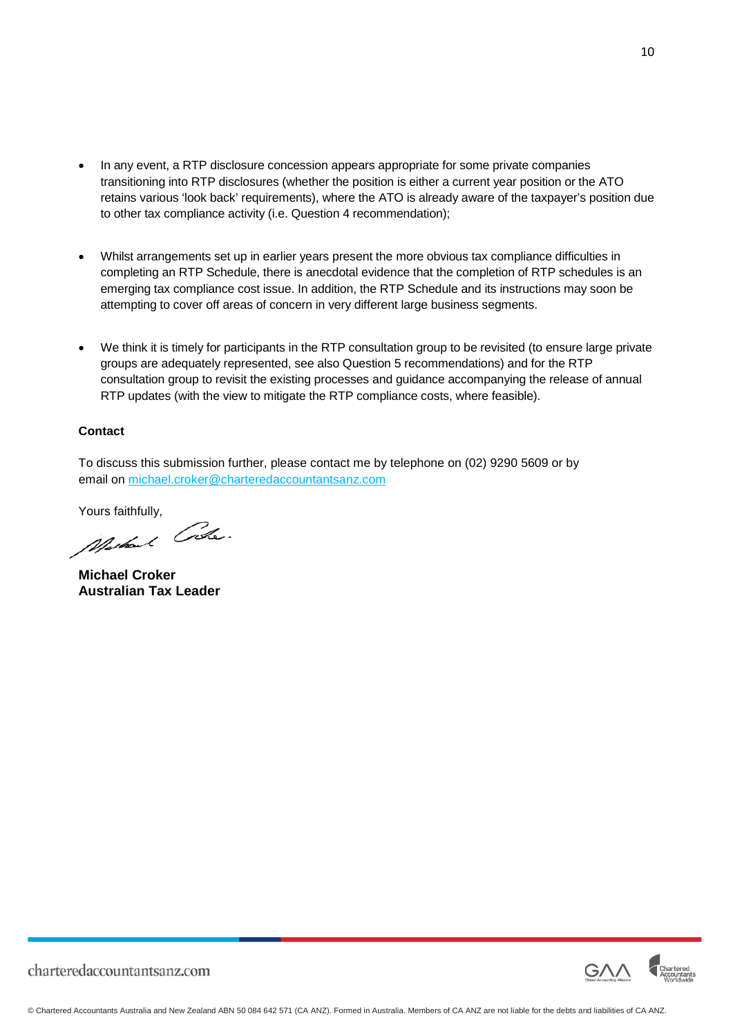- In any event, a RTP disclosure concession appears appropriate for some private companies transitioning into RTP disclosures (whether the position is either a current year position or the ATO retains various 'look back' requirements), where the ATO is already aware of the taxpayer's position due to other tax compliance activity (i.e. Question 4 recommendation);
- Whilst arrangements set up in earlier years present the more obvious tax compliance difficulties in completing an RTP Schedule, there is anecdotal evidence that the completion of RTP schedules is an emerging tax compliance cost issue. In addition, the RTP Schedule and its instructions may soon be attempting to cover off areas of concern in very different large business segments.
- We think it is timely for participants in the RTP consultation group to be revisited (to ensure large private groups are adequately represented, see also Question 5 recommendations) and for the RTP consultation group to revisit the existing processes and guidance accompanying the release of annual RTP updates (with the view to mitigate the RTP compliance costs, where feasible).

#### **Contact**

To discuss this submission further, please contact me by telephone on (02) 9290 5609 or by email on [michael.croker@charteredaccountantsanz.com](mailto:michael.croker@charteredaccountantsanz.com)

Yours faithfully,<br>*Marked Colle* 

**Michael Croker Australian Tax Leader**